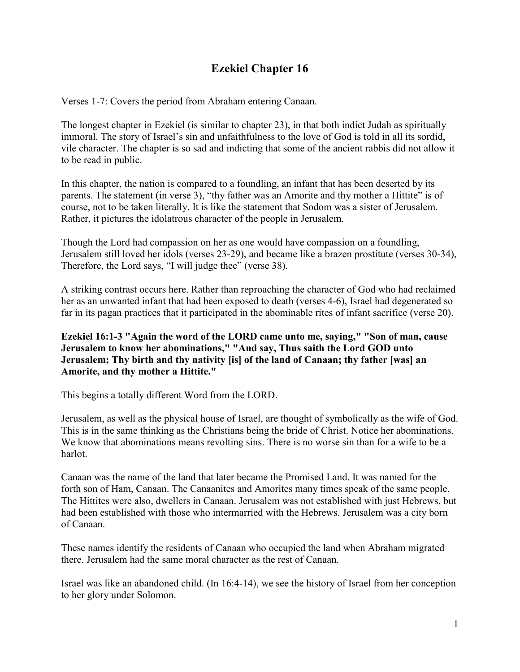# **Ezekiel Chapter 16**

Verses 1-7: Covers the period from Abraham entering Canaan.

The longest chapter in Ezekiel (is similar to chapter 23), in that both indict Judah as spiritually immoral. The story of Israel's sin and unfaithfulness to the love of God is told in all its sordid, vile character. The chapter is so sad and indicting that some of the ancient rabbis did not allow it to be read in public.

In this chapter, the nation is compared to a foundling, an infant that has been deserted by its parents. The statement (in verse 3), "thy father was an Amorite and thy mother a Hittite" is of course, not to be taken literally. It is like the statement that Sodom was a sister of Jerusalem. Rather, it pictures the idolatrous character of the people in Jerusalem.

Though the Lord had compassion on her as one would have compassion on a foundling, Jerusalem still loved her idols (verses 23-29), and became like a brazen prostitute (verses 30-34), Therefore, the Lord says, "I will judge thee" (verse 38).

A striking contrast occurs here. Rather than reproaching the character of God who had reclaimed her as an unwanted infant that had been exposed to death (verses 4-6), Israel had degenerated so far in its pagan practices that it participated in the abominable rites of infant sacrifice (verse 20).

**Ezekiel 16:1-3 "Again the word of the LORD came unto me, saying," "Son of man, cause Jerusalem to know her abominations," "And say, Thus saith the Lord GOD unto Jerusalem; Thy birth and thy nativity [is] of the land of Canaan; thy father [was] an Amorite, and thy mother a Hittite."**

This begins a totally different Word from the LORD.

Jerusalem, as well as the physical house of Israel, are thought of symbolically as the wife of God. This is in the same thinking as the Christians being the bride of Christ. Notice her abominations. We know that abominations means revolting sins. There is no worse sin than for a wife to be a harlot.

Canaan was the name of the land that later became the Promised Land. It was named for the forth son of Ham, Canaan. The Canaanites and Amorites many times speak of the same people. The Hittites were also, dwellers in Canaan. Jerusalem was not established with just Hebrews, but had been established with those who intermarried with the Hebrews. Jerusalem was a city born of Canaan.

These names identify the residents of Canaan who occupied the land when Abraham migrated there. Jerusalem had the same moral character as the rest of Canaan.

Israel was like an abandoned child. (In 16:4-14), we see the history of Israel from her conception to her glory under Solomon.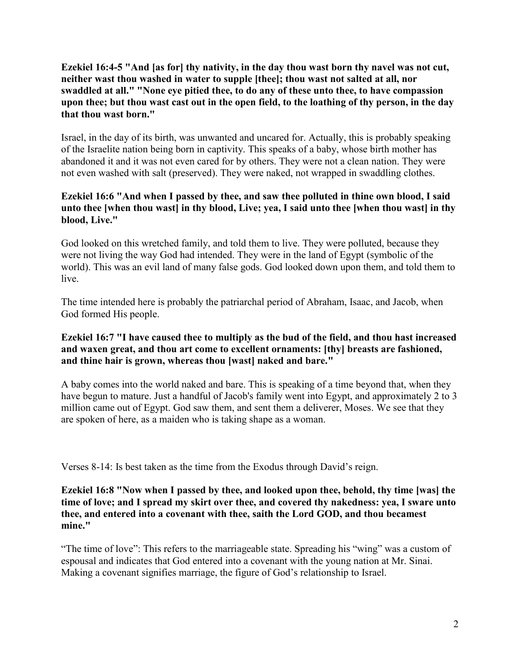**Ezekiel 16:4-5 "And [as for] thy nativity, in the day thou wast born thy navel was not cut, neither wast thou washed in water to supple [thee]; thou wast not salted at all, nor swaddled at all." "None eye pitied thee, to do any of these unto thee, to have compassion upon thee; but thou wast cast out in the open field, to the loathing of thy person, in the day that thou wast born."**

Israel, in the day of its birth, was unwanted and uncared for. Actually, this is probably speaking of the Israelite nation being born in captivity. This speaks of a baby, whose birth mother has abandoned it and it was not even cared for by others. They were not a clean nation. They were not even washed with salt (preserved). They were naked, not wrapped in swaddling clothes.

# **Ezekiel 16:6 "And when I passed by thee, and saw thee polluted in thine own blood, I said unto thee [when thou wast] in thy blood, Live; yea, I said unto thee [when thou wast] in thy blood, Live."**

God looked on this wretched family, and told them to live. They were polluted, because they were not living the way God had intended. They were in the land of Egypt (symbolic of the world). This was an evil land of many false gods. God looked down upon them, and told them to live.

The time intended here is probably the patriarchal period of Abraham, Isaac, and Jacob, when God formed His people.

# **Ezekiel 16:7 "I have caused thee to multiply as the bud of the field, and thou hast increased and waxen great, and thou art come to excellent ornaments: [thy] breasts are fashioned, and thine hair is grown, whereas thou [wast] naked and bare."**

A baby comes into the world naked and bare. This is speaking of a time beyond that, when they have begun to mature. Just a handful of Jacob's family went into Egypt, and approximately 2 to 3 million came out of Egypt. God saw them, and sent them a deliverer, Moses. We see that they are spoken of here, as a maiden who is taking shape as a woman.

Verses 8-14: Is best taken as the time from the Exodus through David's reign.

**Ezekiel 16:8 "Now when I passed by thee, and looked upon thee, behold, thy time [was] the time of love; and I spread my skirt over thee, and covered thy nakedness: yea, I sware unto thee, and entered into a covenant with thee, saith the Lord GOD, and thou becamest mine."**

"The time of love": This refers to the marriageable state. Spreading his "wing" was a custom of espousal and indicates that God entered into a covenant with the young nation at Mr. Sinai. Making a covenant signifies marriage, the figure of God's relationship to Israel.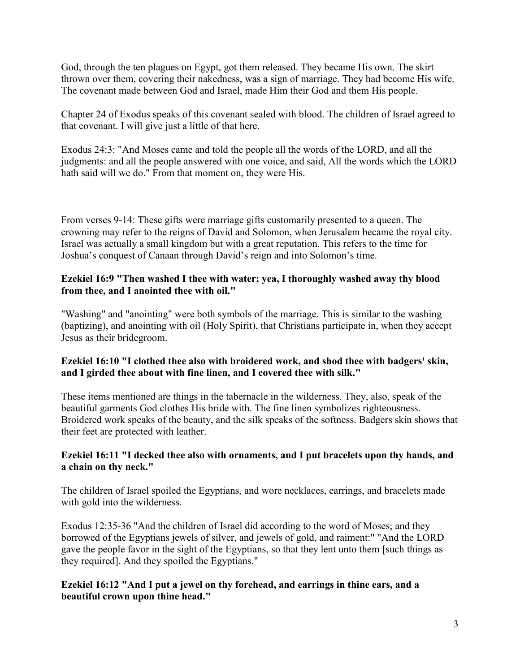God, through the ten plagues on Egypt, got them released. They became His own. The skirt thrown over them, covering their nakedness, was a sign of marriage. They had become His wife. The covenant made between God and Israel, made Him their God and them His people.

Chapter 24 of Exodus speaks of this covenant sealed with blood. The children of Israel agreed to that covenant. I will give just a little of that here.

Exodus 24:3: "And Moses came and told the people all the words of the LORD, and all the judgments: and all the people answered with one voice, and said, All the words which the LORD hath said will we do." From that moment on, they were His.

From verses 9-14: These gifts were marriage gifts customarily presented to a queen. The crowning may refer to the reigns of David and Solomon, when Jerusalem became the royal city. Israel was actually a small kingdom but with a great reputation. This refers to the time for Joshua's conquest of Canaan through David's reign and into Solomon's time.

# **Ezekiel 16:9 "Then washed I thee with water; yea, I thoroughly washed away thy blood from thee, and I anointed thee with oil."**

"Washing" and "anointing" were both symbols of the marriage. This is similar to the washing (baptizing), and anointing with oil (Holy Spirit), that Christians participate in, when they accept Jesus as their bridegroom.

# **Ezekiel 16:10 "I clothed thee also with broidered work, and shod thee with badgers' skin, and I girded thee about with fine linen, and I covered thee with silk."**

These items mentioned are things in the tabernacle in the wilderness. They, also, speak of the beautiful garments God clothes His bride with. The fine linen symbolizes righteousness. Broidered work speaks of the beauty, and the silk speaks of the softness. Badgers skin shows that their feet are protected with leather.

# **Ezekiel 16:11 "I decked thee also with ornaments, and I put bracelets upon thy hands, and a chain on thy neck."**

The children of Israel spoiled the Egyptians, and wore necklaces, earrings, and bracelets made with gold into the wilderness.

Exodus 12:35-36 "And the children of Israel did according to the word of Moses; and they borrowed of the Egyptians jewels of silver, and jewels of gold, and raiment:" "And the LORD gave the people favor in the sight of the Egyptians, so that they lent unto them [such things as they required]. And they spoiled the Egyptians."

#### **Ezekiel 16:12 "And I put a jewel on thy forehead, and earrings in thine ears, and a beautiful crown upon thine head."**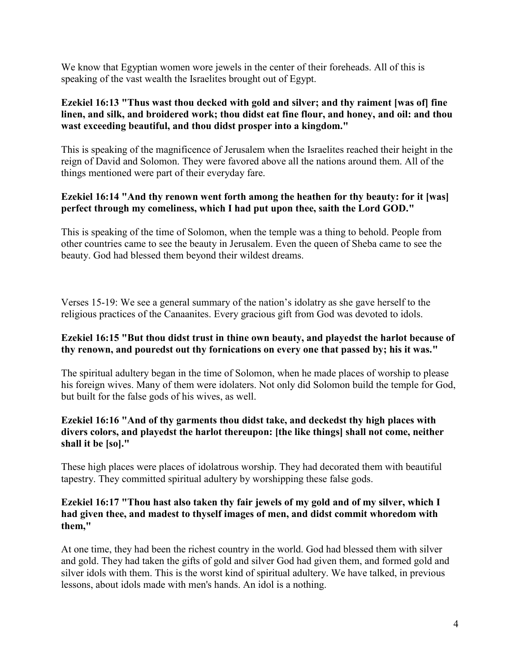We know that Egyptian women wore jewels in the center of their foreheads. All of this is speaking of the vast wealth the Israelites brought out of Egypt.

## **Ezekiel 16:13 "Thus wast thou decked with gold and silver; and thy raiment [was of] fine linen, and silk, and broidered work; thou didst eat fine flour, and honey, and oil: and thou wast exceeding beautiful, and thou didst prosper into a kingdom."**

This is speaking of the magnificence of Jerusalem when the Israelites reached their height in the reign of David and Solomon. They were favored above all the nations around them. All of the things mentioned were part of their everyday fare.

# **Ezekiel 16:14 "And thy renown went forth among the heathen for thy beauty: for it [was] perfect through my comeliness, which I had put upon thee, saith the Lord GOD."**

This is speaking of the time of Solomon, when the temple was a thing to behold. People from other countries came to see the beauty in Jerusalem. Even the queen of Sheba came to see the beauty. God had blessed them beyond their wildest dreams.

Verses 15-19: We see a general summary of the nation's idolatry as she gave herself to the religious practices of the Canaanites. Every gracious gift from God was devoted to idols.

# **Ezekiel 16:15 "But thou didst trust in thine own beauty, and playedst the harlot because of thy renown, and pouredst out thy fornications on every one that passed by; his it was."**

The spiritual adultery began in the time of Solomon, when he made places of worship to please his foreign wives. Many of them were idolaters. Not only did Solomon build the temple for God, but built for the false gods of his wives, as well.

# **Ezekiel 16:16 "And of thy garments thou didst take, and deckedst thy high places with divers colors, and playedst the harlot thereupon: [the like things] shall not come, neither shall it be [so]."**

These high places were places of idolatrous worship. They had decorated them with beautiful tapestry. They committed spiritual adultery by worshipping these false gods.

#### **Ezekiel 16:17 "Thou hast also taken thy fair jewels of my gold and of my silver, which I had given thee, and madest to thyself images of men, and didst commit whoredom with them,"**

At one time, they had been the richest country in the world. God had blessed them with silver and gold. They had taken the gifts of gold and silver God had given them, and formed gold and silver idols with them. This is the worst kind of spiritual adultery. We have talked, in previous lessons, about idols made with men's hands. An idol is a nothing.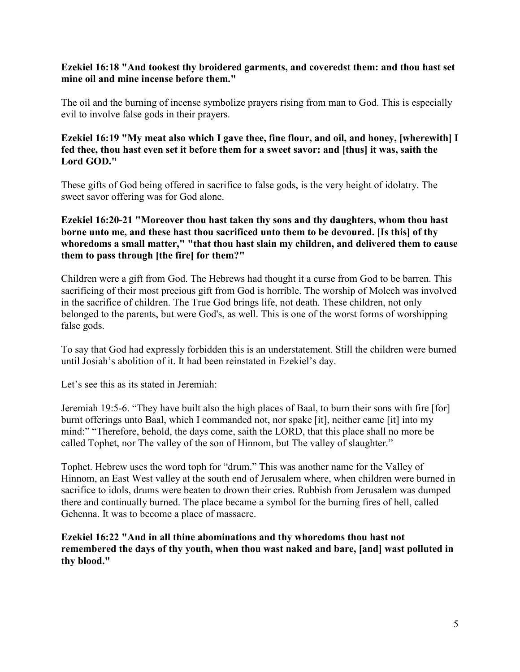#### **Ezekiel 16:18 "And tookest thy broidered garments, and coveredst them: and thou hast set mine oil and mine incense before them."**

The oil and the burning of incense symbolize prayers rising from man to God. This is especially evil to involve false gods in their prayers.

#### **Ezekiel 16:19 "My meat also which I gave thee, fine flour, and oil, and honey, [wherewith] I fed thee, thou hast even set it before them for a sweet savor: and [thus] it was, saith the Lord GOD."**

These gifts of God being offered in sacrifice to false gods, is the very height of idolatry. The sweet savor offering was for God alone.

#### **Ezekiel 16:20-21 "Moreover thou hast taken thy sons and thy daughters, whom thou hast borne unto me, and these hast thou sacrificed unto them to be devoured. [Is this] of thy whoredoms a small matter," "that thou hast slain my children, and delivered them to cause them to pass through [the fire] for them?"**

Children were a gift from God. The Hebrews had thought it a curse from God to be barren. This sacrificing of their most precious gift from God is horrible. The worship of Molech was involved in the sacrifice of children. The True God brings life, not death. These children, not only belonged to the parents, but were God's, as well. This is one of the worst forms of worshipping false gods.

To say that God had expressly forbidden this is an understatement. Still the children were burned until Josiah's abolition of it. It had been reinstated in Ezekiel's day.

Let's see this as its stated in Jeremiah:

Jeremiah 19:5-6. "They have built also the high places of Baal, to burn their sons with fire [for] burnt offerings unto Baal, which I commanded not, nor spake [it], neither came [it] into my mind:" "Therefore, behold, the days come, saith the LORD, that this place shall no more be called Tophet, nor The valley of the son of Hinnom, but The valley of slaughter."

Tophet. Hebrew uses the word toph for "drum." This was another name for the Valley of Hinnom, an East West valley at the south end of Jerusalem where, when children were burned in sacrifice to idols, drums were beaten to drown their cries. Rubbish from Jerusalem was dumped there and continually burned. The place became a symbol for the burning fires of hell, called Gehenna. It was to become a place of massacre.

**Ezekiel 16:22 "And in all thine abominations and thy whoredoms thou hast not remembered the days of thy youth, when thou wast naked and bare, [and] wast polluted in thy blood."**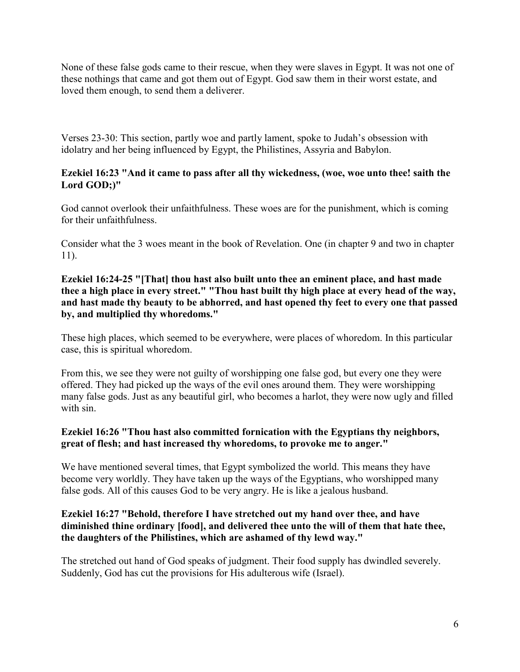None of these false gods came to their rescue, when they were slaves in Egypt. It was not one of these nothings that came and got them out of Egypt. God saw them in their worst estate, and loved them enough, to send them a deliverer.

Verses 23-30: This section, partly woe and partly lament, spoke to Judah's obsession with idolatry and her being influenced by Egypt, the Philistines, Assyria and Babylon.

# **Ezekiel 16:23 "And it came to pass after all thy wickedness, (woe, woe unto thee! saith the Lord GOD;)"**

God cannot overlook their unfaithfulness. These woes are for the punishment, which is coming for their unfaithfulness.

Consider what the 3 woes meant in the book of Revelation. One (in chapter 9 and two in chapter 11).

## **Ezekiel 16:24-25 "[That] thou hast also built unto thee an eminent place, and hast made thee a high place in every street." "Thou hast built thy high place at every head of the way, and hast made thy beauty to be abhorred, and hast opened thy feet to every one that passed by, and multiplied thy whoredoms."**

These high places, which seemed to be everywhere, were places of whoredom. In this particular case, this is spiritual whoredom.

From this, we see they were not guilty of worshipping one false god, but every one they were offered. They had picked up the ways of the evil ones around them. They were worshipping many false gods. Just as any beautiful girl, who becomes a harlot, they were now ugly and filled with sin.

# **Ezekiel 16:26 "Thou hast also committed fornication with the Egyptians thy neighbors, great of flesh; and hast increased thy whoredoms, to provoke me to anger."**

We have mentioned several times, that Egypt symbolized the world. This means they have become very worldly. They have taken up the ways of the Egyptians, who worshipped many false gods. All of this causes God to be very angry. He is like a jealous husband.

# **Ezekiel 16:27 "Behold, therefore I have stretched out my hand over thee, and have diminished thine ordinary [food], and delivered thee unto the will of them that hate thee, the daughters of the Philistines, which are ashamed of thy lewd way."**

The stretched out hand of God speaks of judgment. Their food supply has dwindled severely. Suddenly, God has cut the provisions for His adulterous wife (Israel).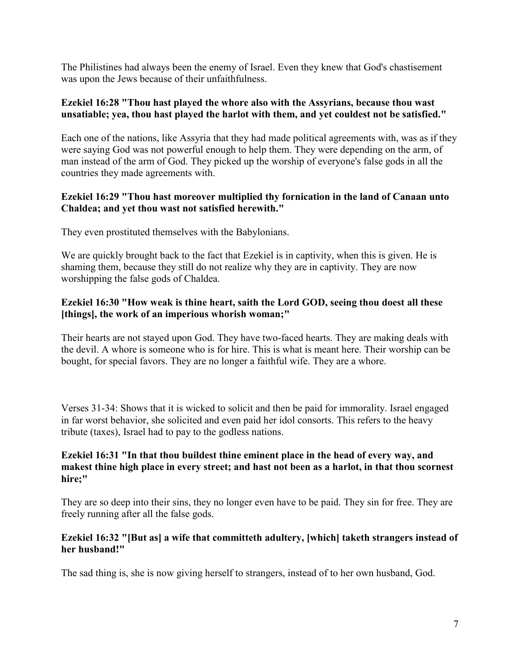The Philistines had always been the enemy of Israel. Even they knew that God's chastisement was upon the Jews because of their unfaithfulness.

#### **Ezekiel 16:28 "Thou hast played the whore also with the Assyrians, because thou wast unsatiable; yea, thou hast played the harlot with them, and yet couldest not be satisfied."**

Each one of the nations, like Assyria that they had made political agreements with, was as if they were saying God was not powerful enough to help them. They were depending on the arm, of man instead of the arm of God. They picked up the worship of everyone's false gods in all the countries they made agreements with.

## **Ezekiel 16:29 "Thou hast moreover multiplied thy fornication in the land of Canaan unto Chaldea; and yet thou wast not satisfied herewith."**

They even prostituted themselves with the Babylonians.

We are quickly brought back to the fact that Ezekiel is in captivity, when this is given. He is shaming them, because they still do not realize why they are in captivity. They are now worshipping the false gods of Chaldea.

# **Ezekiel 16:30 "How weak is thine heart, saith the Lord GOD, seeing thou doest all these [things], the work of an imperious whorish woman;"**

Their hearts are not stayed upon God. They have two-faced hearts. They are making deals with the devil. A whore is someone who is for hire. This is what is meant here. Their worship can be bought, for special favors. They are no longer a faithful wife. They are a whore.

Verses 31-34: Shows that it is wicked to solicit and then be paid for immorality. Israel engaged in far worst behavior, she solicited and even paid her idol consorts. This refers to the heavy tribute (taxes), Israel had to pay to the godless nations.

#### **Ezekiel 16:31 "In that thou buildest thine eminent place in the head of every way, and makest thine high place in every street; and hast not been as a harlot, in that thou scornest hire;"**

They are so deep into their sins, they no longer even have to be paid. They sin for free. They are freely running after all the false gods.

# **Ezekiel 16:32 "[But as] a wife that committeth adultery, [which] taketh strangers instead of her husband!"**

The sad thing is, she is now giving herself to strangers, instead of to her own husband, God.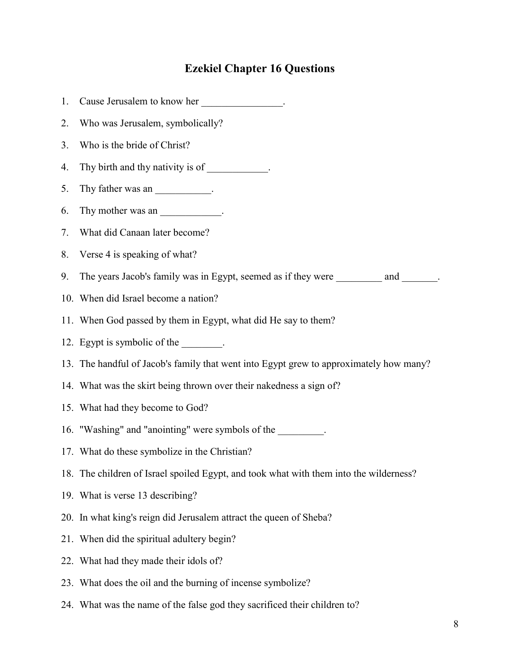# **Ezekiel Chapter 16 Questions**

| 1. | Cause Jerusalem to know her _________________.                                         |
|----|----------------------------------------------------------------------------------------|
| 2. | Who was Jerusalem, symbolically?                                                       |
| 3. | Who is the bride of Christ?                                                            |
| 4. | Thy birth and thy nativity is of ____________.                                         |
| 5. | Thy father was an ______________.                                                      |
| 6. | Thy mother was an ________________.                                                    |
| 7. | What did Canaan later become?                                                          |
| 8. | Verse 4 is speaking of what?                                                           |
| 9. | The years Jacob's family was in Egypt, seemed as if they were ___________ and _______. |
|    | 10. When did Israel become a nation?                                                   |
|    | 11. When God passed by them in Egypt, what did He say to them?                         |
|    | 12. Egypt is symbolic of the ________.                                                 |
|    | 13. The handful of Jacob's family that went into Egypt grew to approximately how many? |
|    | 14. What was the skirt being thrown over their nakedness a sign of?                    |
|    | 15. What had they become to God?                                                       |
|    | 16. "Washing" and "anointing" were symbols of the ________.                            |
|    | 17. What do these symbolize in the Christian?                                          |
|    | 18. The children of Israel spoiled Egypt, and took what with them into the wilderness? |
|    | 19. What is verse 13 describing?                                                       |
|    | 20. In what king's reign did Jerusalem attract the queen of Sheba?                     |
|    | 21. When did the spiritual adultery begin?                                             |
|    | 22. What had they made their idols of?                                                 |
|    | 23. What does the oil and the burning of incense symbolize?                            |

24. What was the name of the false god they sacrificed their children to?